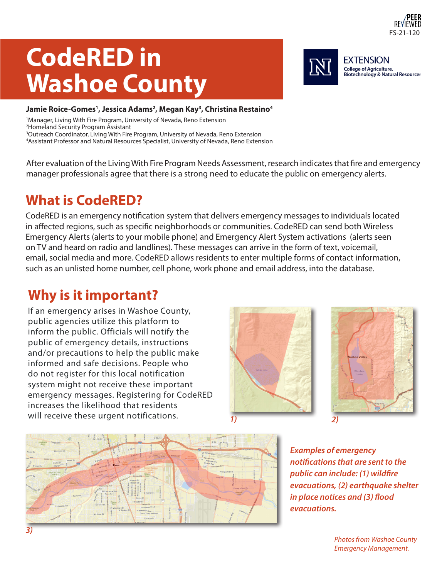

**EXTENSION College of Agriculture,** 

**EDITE OF AGRICATE**,<br>Biotechnology & Natural Resources

# **CodeRED in Washoe County**

#### Jamie Roice-Gomes<sup>1</sup>, Jessica Adams<sup>2</sup>, Megan Kay<sup>3</sup>, Christina Restaino<sup>4</sup>

<sup>1</sup>Manager, Living With Fire Program, University of Nevada, Reno Extension Homeland Security Program Assistant Outreach Coordinator, Living With Fire Program, University of Nevada, Reno Extension Assistant Professor and Natural Resources Specialist, University of Nevada, Reno Extension

After evaluation of the Living With Fire Program Needs Assessment, research indicates that fire and emergency manager professionals agree that there is a strong need to educate the public on emergency alerts.

### **What is CodeRED?**

CodeRED is an emergency notification system that delivers emergency messages to individuals located in affected regions, such as specific neighborhoods or communities. CodeRED can send both Wireless Emergency Alerts (alerts to your mobile phone) and Emergency Alert System activations (alerts seen on TV and heard on radio and landlines). These messages can arrive in the form of text, voicemail, email, social media and more. CodeRED allows residents to enter multiple forms of contact information, such as an unlisted home number, cell phone, work phone and email address, into the database.

### **Why is it important?**

If an emergency arises in Washoe County, public agencies utilize this platform to inform the public. Officials will notify the public of emergency details, instructions and/or precautions to help the public make informed and safe decisions. People who do not register for this local notification system might not receive these important emergency messages. Registering for CodeRED increases the likelihood that residents will receive these urgent notifications. *1) 2)*







*Examples of emergency notifications that are sent to the public can include: (1) wildfire evacuations, (2) earthquake shelter in place notices and (3) flood evacuations.*